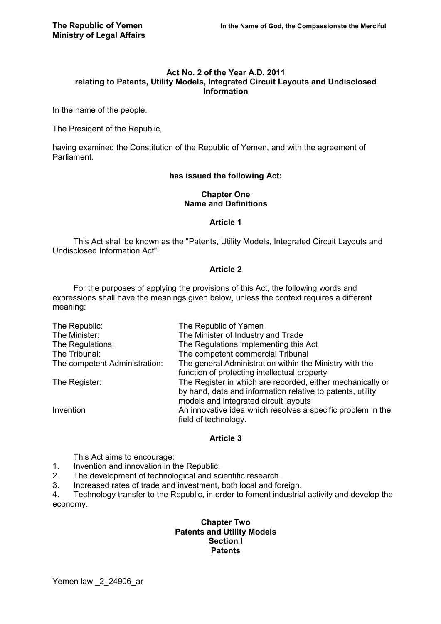#### **Act No. 2 of the Year A.D. 2011 relating to Patents, Utility Models, Integrated Circuit Layouts and Undisclosed Information**

In the name of the people.

The President of the Republic,

 having examined the Constitution of the Republic of Yemen, and with the agreement of Parliament.

### **has issued the following Act:**

### **Chapter One Name and Definitions**

#### **Article 1**

 This Act shall be known as the "Patents, Utility Models, Integrated Circuit Layouts and Undisclosed Information Act".

### **Article 2**

 For the purposes of applying the provisions of this Act, the following words and expressions shall have the meanings given below, unless the context requires a different meaning:

| The Republic:                 | The Republic of Yemen                                       |
|-------------------------------|-------------------------------------------------------------|
| The Minister:                 | The Minister of Industry and Trade                          |
| The Regulations:              | The Regulations implementing this Act                       |
| The Tribunal:                 | The competent commercial Tribunal                           |
| The competent Administration: | The general Administration within the Ministry with the     |
|                               | function of protecting intellectual property                |
| The Register:                 | The Register in which are recorded, either mechanically or  |
|                               | by hand, data and information relative to patents, utility  |
|                               | models and integrated circuit layouts                       |
| Invention                     | An innovative idea which resolves a specific problem in the |
|                               | field of technology.                                        |

#### **Article 3**

This Act aims to encourage:

- 1. Invention and innovation in the Republic.
- 2. The development of technological and scientific research.
- 3. Increased rates of trade and investment, both local and foreign.

 4. Technology transfer to the Republic, in order to foment industrial activity and develop the economy.

### **Patents and Utility Models Chapter Two Section I Patents**

Yemen law \_2\_24906\_ar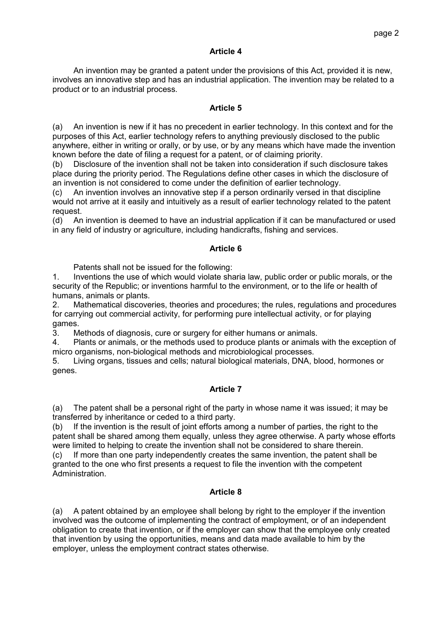An invention may be granted a patent under the provisions of this Act, provided it is new, involves an innovative step and has an industrial application. The invention may be related to a product or to an industrial process.

# **Article 5**

 (a) An invention is new if it has no precedent in earlier technology. In this context and for the purposes of this Act, earlier technology refers to anything previously disclosed to the public anywhere, either in writing or orally, or by use, or by any means which have made the invention known before the date of filing a request for a patent, or of claiming priority.

 (b) Disclosure of the invention shall not be taken into consideration if such disclosure takes place during the priority period. The Regulations define other cases in which the disclosure of an invention is not considered to come under the definition of earlier technology.

 would not arrive at it easily and intuitively as a result of earlier technology related to the patent (c) An invention involves an innovative step if a person ordinarily versed in that discipline request.

 (d) An invention is deemed to have an industrial application if it can be manufactured or used in any field of industry or agriculture, including handicrafts, fishing and services.

# **Article 6**

Patents shall not be issued for the following:

 1. Inventions the use of which would violate sharia law, public order or public morals, or the security of the Republic; or inventions harmful to the environment, or to the life or health of humans, animals or plants.

 2. Mathematical discoveries, theories and procedures; the rules, regulations and procedures for carrying out commercial activity, for performing pure intellectual activity, or for playing games.

3. Methods of diagnosis, cure or surgery for either humans or animals.

 4. Plants or animals, or the methods used to produce plants or animals with the exception of micro organisms, non-biological methods and microbiological processes.

 5. Living organs, tissues and cells; natural biological materials, DNA, blood, hormones or genes.

# **Article 7**

 (a) The patent shall be a personal right of the party in whose name it was issued; it may be transferred by inheritance or ceded to a third party.

 (b) If the invention is the result of joint efforts among a number of parties, the right to the patent shall be shared among them equally, unless they agree otherwise. A party whose efforts were limited to helping to create the invention shall not be considered to share therein.

 (c) If more than one party independently creates the same invention, the patent shall be granted to the one who first presents a request to file the invention with the competent Administration.

# **Article 8**

 (a) A patent obtained by an employee shall belong by right to the employer if the invention involved was the outcome of implementing the contract of employment, or of an independent obligation to create that invention, or if the employer can show that the employee only created that invention by using the opportunities, means and data made available to him by the employer, unless the employment contract states otherwise.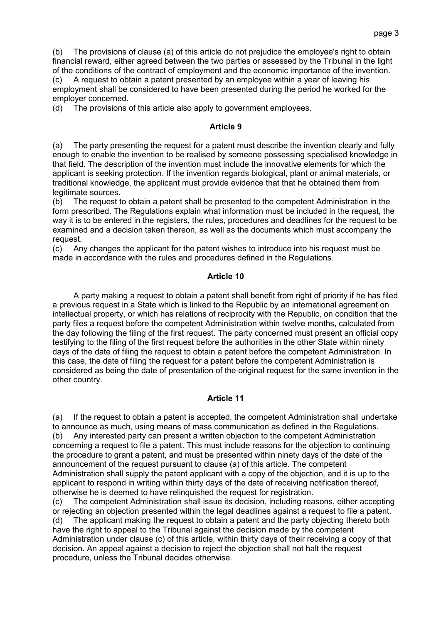(b) The provisions of clause (a) of this article do not prejudice the employee's right to obtain financial reward, either agreed between the two parties or assessed by the Tribunal in the light of the conditions of the contract of employment and the economic importance of the invention.

 (c) A request to obtain a patent presented by an employee within a year of leaving his employment shall be considered to have been presented during the period he worked for the employer concerned.

(d) The provisions of this article also apply to government employees.

## **Article 9**

 (a) The party presenting the request for a patent must describe the invention clearly and fully enough to enable the invention to be realised by someone possessing specialised knowledge in that field. The description of the invention must include the innovative elements for which the applicant is seeking protection. If the invention regards biological, plant or animal materials, or traditional knowledge, the applicant must provide evidence that that he obtained them from legitimate sources.

 (b) The request to obtain a patent shall be presented to the competent Administration in the form prescribed. The Regulations explain what information must be included in the request, the way it is to be entered in the registers, the rules, procedures and deadlines for the request to be examined and a decision taken thereon, as well as the documents which must accompany the request.

 (c) Any changes the applicant for the patent wishes to introduce into his request must be made in accordance with the rules and procedures defined in the Regulations.

## **Article 10**

 A party making a request to obtain a patent shall benefit from right of priority if he has filed a previous request in a State which is linked to the Republic by an international agreement on intellectual property, or which has relations of reciprocity with the Republic, on condition that the party files a request before the competent Administration within twelve months, calculated from the day following the filing of the first request. The party concerned must present an official copy testifying to the filing of the first request before the authorities in the other State within ninety days of the date of filing the request to obtain a patent before the competent Administration. In this case, the date of filing the request for a patent before the competent Administration is considered as being the date of presentation of the original request for the same invention in the other country.

## **Article 11**

 (a) If the request to obtain a patent is accepted, the competent Administration shall undertake to announce as much, using means of mass communication as defined in the Regulations. (b) Any interested party can present a written objection to the competent Administration concerning a request to file a patent. This must include reasons for the objection to continuing the procedure to grant a patent, and must be presented within ninety days of the date of the announcement of the request pursuant to clause (a) of this article. The competent Administration shall supply the patent applicant with a copy of the objection, and it is up to the applicant to respond in writing within thirty days of the date of receiving notification thereof, otherwise he is deemed to have relinquished the request for registration.

 (c) The competent Administration shall issue its decision, including reasons, either accepting or rejecting an objection presented within the legal deadlines against a request to file a patent. (d) The applicant making the request to obtain a patent and the party objecting thereto both have the right to appeal to the Tribunal against the decision made by the competent Administration under clause (c) of this article, within thirty days of their receiving a copy of that decision. An appeal against a decision to reject the objection shall not halt the request procedure, unless the Tribunal decides otherwise.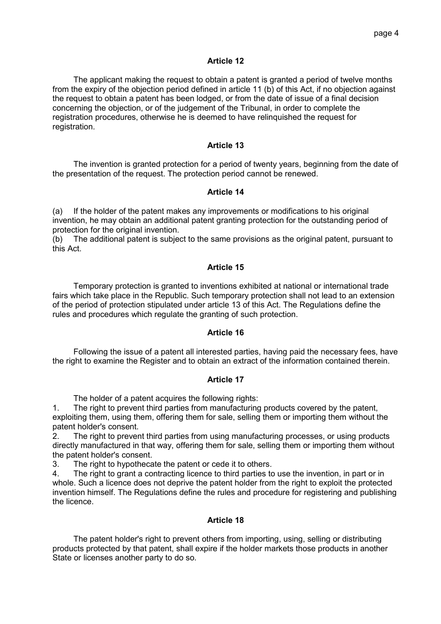The applicant making the request to obtain a patent is granted a period of twelve months from the expiry of the objection period defined in article 11 (b) of this Act, if no objection against the request to obtain a patent has been lodged, or from the date of issue of a final decision concerning the objection, or of the judgement of the Tribunal, in order to complete the registration procedures, otherwise he is deemed to have relinquished the request for registration.

## **Article 13**

 The invention is granted protection for a period of twenty years, beginning from the date of the presentation of the request. The protection period cannot be renewed.

## **Article 14**

 (a) If the holder of the patent makes any improvements or modifications to his original invention, he may obtain an additional patent granting protection for the outstanding period of protection for the original invention.

 (b) The additional patent is subject to the same provisions as the original patent, pursuant to this Act.

## **Article 15**

 Temporary protection is granted to inventions exhibited at national or international trade fairs which take place in the Republic. Such temporary protection shall not lead to an extension of the period of protection stipulated under article 13 of this Act. The Regulations define the rules and procedures which regulate the granting of such protection.

## **Article 16**

 Following the issue of a patent all interested parties, having paid the necessary fees, have the right to examine the Register and to obtain an extract of the information contained therein.

# **Article 17**

The holder of a patent acquires the following rights:

 1. The right to prevent third parties from manufacturing products covered by the patent, exploiting them, using them, offering them for sale, selling them or importing them without the patent holder's consent.

 2. The right to prevent third parties from using manufacturing processes, or using products directly manufactured in that way, offering them for sale, selling them or importing them without the patent holder's consent.

3. The right to hypothecate the patent or cede it to others.

 4. The right to grant a contracting licence to third parties to use the invention, in part or in whole. Such a licence does not deprive the patent holder from the right to exploit the protected invention himself. The Regulations define the rules and procedure for registering and publishing the licence.

## **Article 18**

 The patent holder's right to prevent others from importing, using, selling or distributing products protected by that patent, shall expire if the holder markets those products in another State or licenses another party to do so.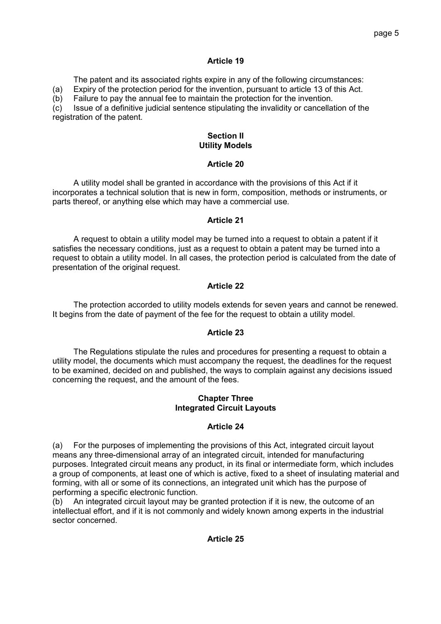The patent and its associated rights expire in any of the following circumstances:

(a) Expiry of the protection period for the invention, pursuant to article 13 of this Act.

(b) Failure to pay the annual fee to maintain the protection for the invention.

 (c) Issue of a definitive judicial sentence stipulating the invalidity or cancellation of the registration of the patent.

## **Section II Utility Models**

# **Article 20**

 A utility model shall be granted in accordance with the provisions of this Act if it incorporates a technical solution that is new in form, composition, methods or instruments, or parts thereof, or anything else which may have a commercial use.

# **Article 21**

 A request to obtain a utility model may be turned into a request to obtain a patent if it satisfies the necessary conditions, just as a request to obtain a patent may be turned into a request to obtain a utility model. In all cases, the protection period is calculated from the date of presentation of the original request.

# **Article 22**

 The protection accorded to utility models extends for seven years and cannot be renewed. It begins from the date of payment of the fee for the request to obtain a utility model.

## **Article 23**

 The Regulations stipulate the rules and procedures for presenting a request to obtain a utility model, the documents which must accompany the request, the deadlines for the request to be examined, decided on and published, the ways to complain against any decisions issued concerning the request, and the amount of the fees.

### **Chapter Three Integrated Circuit Layouts**

## **Article 24**

 (a) For the purposes of implementing the provisions of this Act, integrated circuit layout means any three-dimensional array of an integrated circuit, intended for manufacturing purposes. Integrated circuit means any product, in its final or intermediate form, which includes a group of components, at least one of which is active, fixed to a sheet of insulating material and forming, with all or some of its connections, an integrated unit which has the purpose of performing a specific electronic function.

 (b) An integrated circuit layout may be granted protection if it is new, the outcome of an intellectual effort, and if it is not commonly and widely known among experts in the industrial sector concerned.

# **Article 25**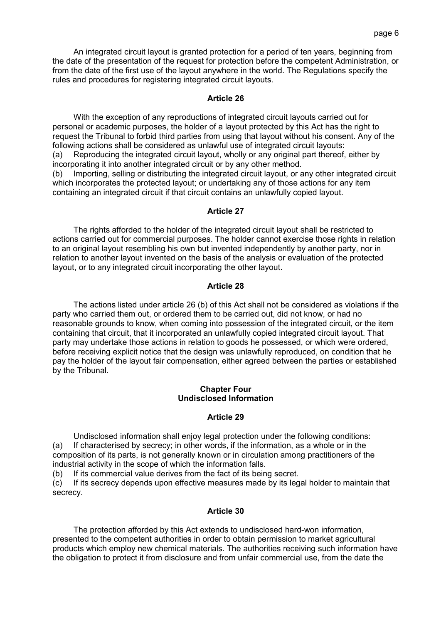An integrated circuit layout is granted protection for a period of ten years, beginning from the date of the presentation of the request for protection before the competent Administration, or from the date of the first use of the layout anywhere in the world. The Regulations specify the rules and procedures for registering integrated circuit layouts.

#### **Article 26**

 With the exception of any reproductions of integrated circuit layouts carried out for personal or academic purposes, the holder of a layout protected by this Act has the right to request the Tribunal to forbid third parties from using that layout without his consent. Any of the following actions shall be considered as unlawful use of integrated circuit layouts: (a) Reproducing the integrated circuit layout, wholly or any original part thereof, either by incorporating it into another integrated circuit or by any other method.

 (b) Importing, selling or distributing the integrated circuit layout, or any other integrated circuit which incorporates the protected layout; or undertaking any of those actions for any item containing an integrated circuit if that circuit contains an unlawfully copied layout.

#### **Article 27**

 The rights afforded to the holder of the integrated circuit layout shall be restricted to actions carried out for commercial purposes. The holder cannot exercise those rights in relation to an original layout resembling his own but invented independently by another party, nor in relation to another layout invented on the basis of the analysis or evaluation of the protected layout, or to any integrated circuit incorporating the other layout.

#### **Article 28**

 The actions listed under article 26 (b) of this Act shall not be considered as violations if the party who carried them out, or ordered them to be carried out, did not know, or had no reasonable grounds to know, when coming into possession of the integrated circuit, or the item containing that circuit, that it incorporated an unlawfully copied integrated circuit layout. That party may undertake those actions in relation to goods he possessed, or which were ordered, before receiving explicit notice that the design was unlawfully reproduced, on condition that he pay the holder of the layout fair compensation, either agreed between the parties or established by the Tribunal.

#### **Chapter Four Undisclosed Information**

### **Article 29**

 Undisclosed information shall enjoy legal protection under the following conditions: (a) If characterised by secrecy; in other words, if the information, as a whole or in the composition of its parts, is not generally known or in circulation among practitioners of the industrial activity in the scope of which the information falls.

(b) If its commercial value derives from the fact of its being secret.

 (c) If its secrecy depends upon effective measures made by its legal holder to maintain that secrecy.

#### **Article 30**

The protection afforded by this Act extends to undisclosed hard-won information, presented to the competent authorities in order to obtain permission to market agricultural products which employ new chemical materials. The authorities receiving such information have the obligation to protect it from disclosure and from unfair commercial use, from the date the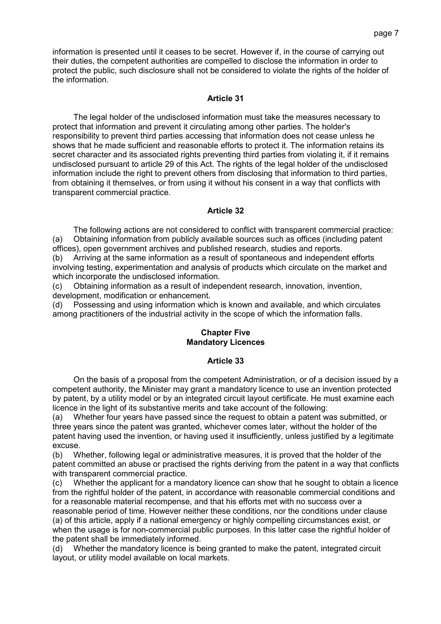information is presented until it ceases to be secret. However if, in the course of carrying out their duties, the competent authorities are compelled to disclose the information in order to protect the public, such disclosure shall not be considered to violate the rights of the holder of the information.

## **Article 31**

 The legal holder of the undisclosed information must take the measures necessary to protect that information and prevent it circulating among other parties. The holder's responsibility to prevent third parties accessing that information does not cease unless he shows that he made sufficient and reasonable efforts to protect it. The information retains its secret character and its associated rights preventing third parties from violating it, if it remains undisclosed pursuant to article 29 of this Act. The rights of the legal holder of the undisclosed information include the right to prevent others from disclosing that information to third parties, from obtaining it themselves, or from using it without his consent in a way that conflicts with transparent commercial practice.

# **Article 32**

 The following actions are not considered to conflict with transparent commercial practice: (a) Obtaining information from publicly available sources such as offices (including patent offices), open government archives and published research, studies and reports.

 (b) Arriving at the same information as a result of spontaneous and independent efforts involving testing, experimentation and analysis of products which circulate on the market and which incorporate the undisclosed information.

 (c) Obtaining information as a result of independent research, innovation, invention, development, modification or enhancement.

 among practitioners of the industrial activity in the scope of which the information falls. (d) Possessing and using information which is known and available, and which circulates

## **Chapter Five Mandatory Licences**

## **Article 33**

 On the basis of a proposal from the competent Administration, or of a decision issued by a competent authority, the Minister may grant a mandatory licence to use an invention protected by patent, by a utility model or by an integrated circuit layout certificate. He must examine each licence in the light of its substantive merits and take account of the following:

 (a) Whether four years have passed since the request to obtain a patent was submitted, or three years since the patent was granted, whichever comes later, without the holder of the patent having used the invention, or having used it insufficiently, unless justified by a legitimate excuse.

 (b) Whether, following legal or administrative measures, it is proved that the holder of the patent committed an abuse or practised the rights deriving from the patent in a way that conflicts with transparent commercial practice.

 (c) Whether the applicant for a mandatory licence can show that he sought to obtain a licence from the rightful holder of the patent, in accordance with reasonable commercial conditions and for a reasonable material recompense, and that his efforts met with no success over a reasonable period of time. However neither these conditions, nor the conditions under clause (a) of this article, apply if a national emergency or highly compelling circumstances exist, or when the usage is for non-commercial public purposes. In this latter case the rightful holder of the patent shall be immediately informed.

 (d) Whether the mandatory licence is being granted to make the patent, integrated circuit layout, or utility model available on local markets.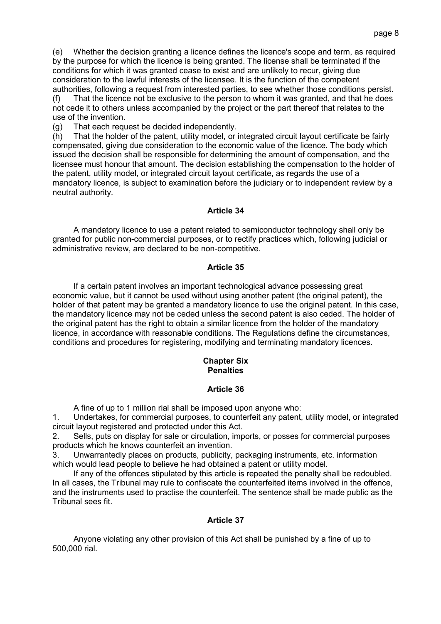(e) Whether the decision granting a licence defines the licence's scope and term, as required by the purpose for which the licence is being granted. The license shall be terminated if the conditions for which it was granted cease to exist and are unlikely to recur, giving due consideration to the lawful interests of the licensee. It is the function of the competent authorities, following a request from interested parties, to see whether those conditions persist.

 (f) That the licence not be exclusive to the person to whom it was granted, and that he does not cede it to others unless accompanied by the project or the part thereof that relates to the use of the invention.

(g) That each request be decided independently.

 (h) That the holder of the patent, utility model, or integrated circuit layout certificate be fairly compensated, giving due consideration to the economic value of the licence. The body which issued the decision shall be responsible for determining the amount of compensation, and the licensee must honour that amount. The decision establishing the compensation to the holder of the patent, utility model, or integrated circuit layout certificate, as regards the use of a mandatory licence, is subject to examination before the judiciary or to independent review by a neutral authority.

#### **Article 34**

 A mandatory licence to use a patent related to semiconductor technology shall only be granted for public non-commercial purposes, or to rectify practices which, following judicial or administrative review, are declared to be non-competitive.

### **Article 35**

 If a certain patent involves an important technological advance possessing great economic value, but it cannot be used without using another patent (the original patent), the holder of that patent may be granted a mandatory licence to use the original patent. In this case, the mandatory licence may not be ceded unless the second patent is also ceded. The holder of the original patent has the right to obtain a similar licence from the holder of the mandatory conditions and procedures for registering, modifying and terminating mandatory licences. licence, in accordance with reasonable conditions. The Regulations define the circumstances,

#### **Chapter Six Penalties**

#### **Article 36**

A fine of up to 1 million rial shall be imposed upon anyone who:

 1. Undertakes, for commercial purposes, to counterfeit any patent, utility model, or integrated circuit layout registered and protected under this Act.

 2. Sells, puts on display for sale or circulation, imports, or posses for commercial purposes products which he knows counterfeit an invention.

 3. Unwarrantedly places on products, publicity, packaging instruments, etc. information which would lead people to believe he had obtained a patent or utility model.

 If any of the offences stipulated by this article is repeated the penalty shall be redoubled. In all cases, the Tribunal may rule to confiscate the counterfeited items involved in the offence, and the instruments used to practise the counterfeit. The sentence shall be made public as the Tribunal sees fit.

#### **Article 37**

 Anyone violating any other provision of this Act shall be punished by a fine of up to 500,000 rial.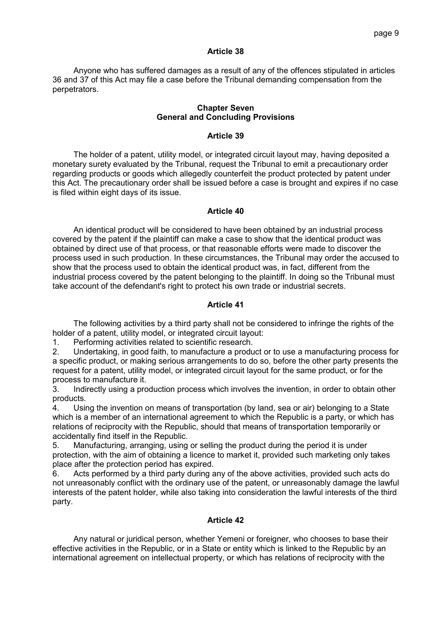Anyone who has suffered damages as a result of any of the offences stipulated in articles 36 and 37 of this Act may file a case before the Tribunal demanding compensation from the perpetrators.

## **General and Concluding Provisions Chapter Seven**

## **Article 39**

 The holder of a patent, utility model, or integrated circuit layout may, having deposited a monetary surety evaluated by the Tribunal, request the Tribunal to emit a precautionary order regarding products or goods which allegedly counterfeit the product protected by patent under this Act. The precautionary order shall be issued before a case is brought and expires if no case is filed within eight days of its issue.

### **Article 40**

 An identical product will be considered to have been obtained by an industrial process covered by the patent if the plaintiff can make a case to show that the identical product was obtained by direct use of that process, or that reasonable efforts were made to discover the process used in such production. In these circumstances, the Tribunal may order the accused to show that the process used to obtain the identical product was, in fact, different from the industrial process covered by the patent belonging to the plaintiff. In doing so the Tribunal must take account of the defendant's right to protect his own trade or industrial secrets.

## **Article 41**

 The following activities by a third party shall not be considered to infringe the rights of the holder of a patent, utility model, or integrated circuit layout:

1. Performing activities related to scientific research.

 2. Undertaking, in good faith, to manufacture a product or to use a manufacturing process for a specific product, or making serious arrangements to do so, before the other party presents the request for a patent, utility model, or integrated circuit layout for the same product, or for the process to manufacture it.

 3. Indirectly using a production process which involves the invention, in order to obtain other products.

 4. Using the invention on means of transportation (by land, sea or air) belonging to a State which is a member of an international agreement to which the Republic is a party, or which has relations of reciprocity with the Republic, should that means of transportation temporarily or accidentally find itself in the Republic.

 5. Manufacturing, arranging, using or selling the product during the period it is under protection, with the aim of obtaining a licence to market it, provided such marketing only takes place after the protection period has expired.

 6. Acts performed by a third party during any of the above activities, provided such acts do not unreasonably conflict with the ordinary use of the patent, or unreasonably damage the lawful interests of the patent holder, while also taking into consideration the lawful interests of the third party.

## **Article 42**

 Any natural or juridical person, whether Yemeni or foreigner, who chooses to base their effective activities in the Republic, or in a State or entity which is linked to the Republic by an international agreement on intellectual property, or which has relations of reciprocity with the